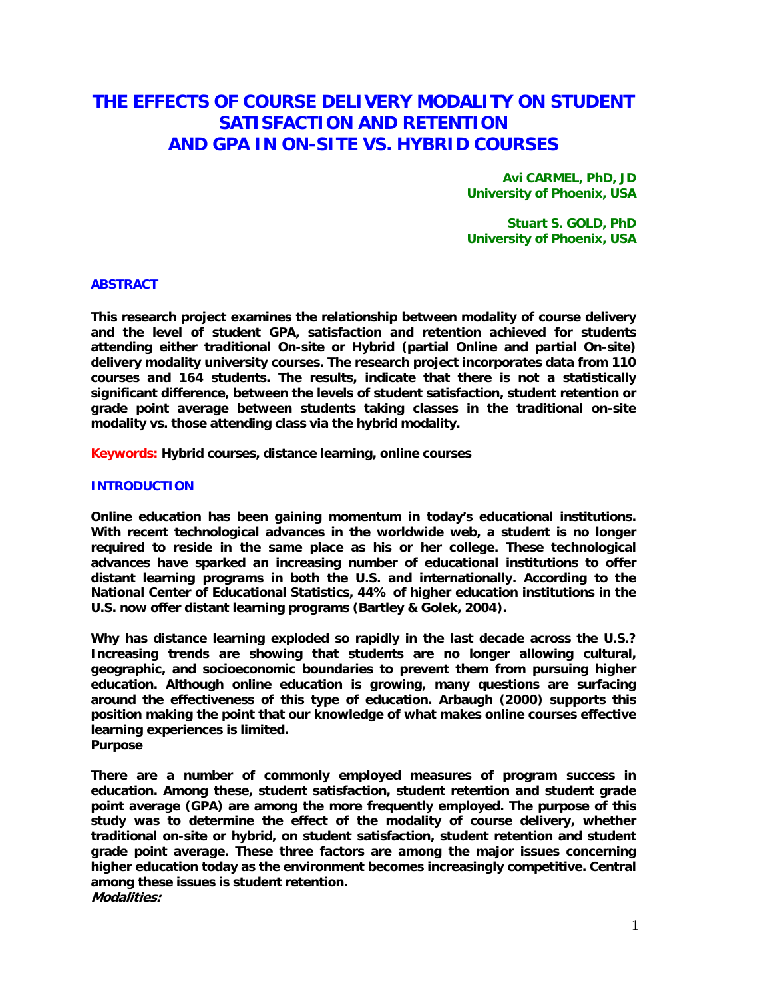# **THE EFFECTS OF COURSE DELIVERY MODALITY ON STUDENT SATISFACTION AND RETENTION AND GPA IN ON-SITE VS. HYBRID COURSES**

**Avi CARMEL, PhD, JD University of Phoenix, USA** 

**Stuart S. GOLD, PhD University of Phoenix, USA** 

## **ABSTRACT**

**This research project examines the relationship between modality of course delivery and the level of student GPA, satisfaction and retention achieved for students attending either traditional On-site or Hybrid (partial Online and partial On-site) delivery modality university courses. The research project incorporates data from 110 courses and 164 students. The results, indicate that there is not a statistically significant difference, between the levels of student satisfaction, student retention or grade point average between students taking classes in the traditional on-site modality vs. those attending class via the hybrid modality.** 

**Keywords: Hybrid courses, distance learning, online courses** 

## **INTRODUCTION**

**Online education has been gaining momentum in today's educational institutions. With recent technological advances in the worldwide web, a student is no longer required to reside in the same place as his or her college. These technological advances have sparked an increasing number of educational institutions to offer distant learning programs in both the U.S. and internationally. According to the National Center of Educational Statistics, 44% of higher education institutions in the U.S. now offer distant learning programs (Bartley & Golek, 2004).** 

**Why has distance learning exploded so rapidly in the last decade across the U.S.? Increasing trends are showing that students are no longer allowing cultural, geographic, and socioeconomic boundaries to prevent them from pursuing higher education. Although online education is growing, many questions are surfacing around the effectiveness of this type of education. Arbaugh (2000) supports this position making the point that our knowledge of what makes online courses effective learning experiences is limited. Purpose** 

**There are a number of commonly employed measures of program success in education. Among these, student satisfaction, student retention and student grade point average (GPA) are among the more frequently employed. The purpose of this study was to determine the effect of the modality of course delivery, whether traditional on-site or hybrid, on student satisfaction, student retention and student grade point average. These three factors are among the major issues concerning higher education today as the environment becomes increasingly competitive. Central among these issues is student retention. Modalities:**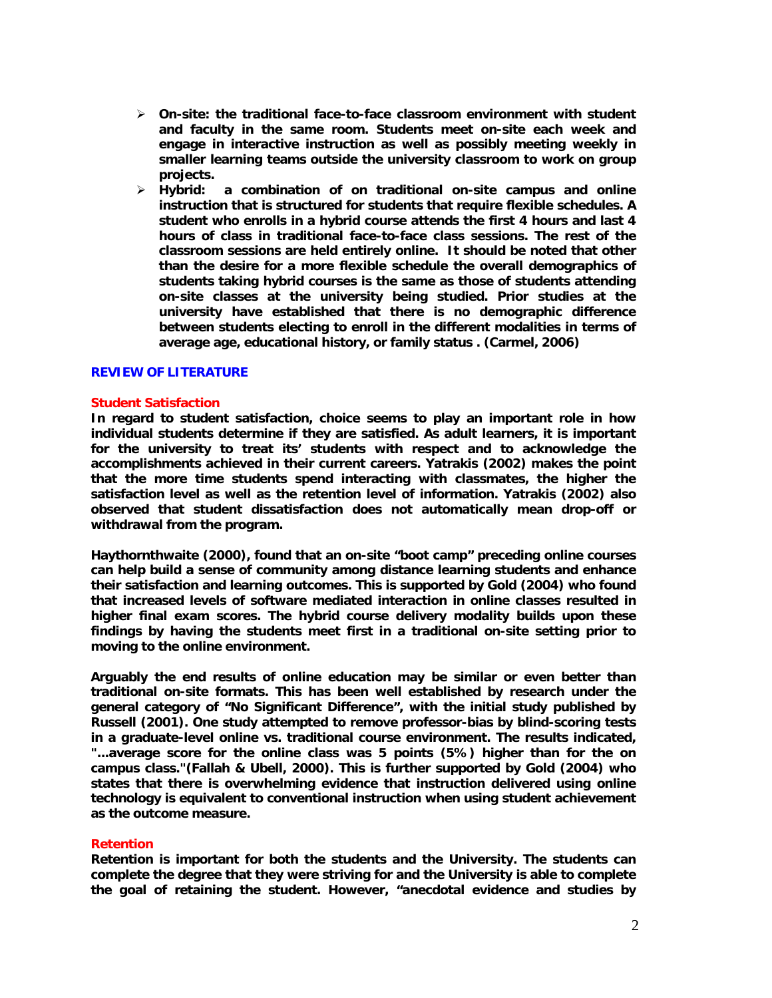- ¾ **On-site: the traditional face-to-face classroom environment with student and faculty in the same room. Students meet on-site each week and engage in interactive instruction as well as possibly meeting weekly in smaller learning teams outside the university classroom to work on group projects.**
- ¾ **Hybrid: a combination of on traditional on-site campus and online instruction that is structured for students that require flexible schedules. A student who enrolls in a hybrid course attends the first 4 hours and last 4 hours of class in traditional face-to-face class sessions. The rest of the classroom sessions are held entirely online. It should be noted that other than the desire for a more flexible schedule the overall demographics of students taking hybrid courses is the same as those of students attending on-site classes at the university being studied. Prior studies at the university have established that there is no demographic difference between students electing to enroll in the different modalities in terms of average age, educational history, or family status . (Carmel, 2006)**

#### **REVIEW OF LITERATURE**

#### **Student Satisfaction**

**In regard to student satisfaction, choice seems to play an important role in how individual students determine if they are satisfied. As adult learners, it is important for the university to treat its' students with respect and to acknowledge the accomplishments achieved in their current careers. Yatrakis (2002) makes the point that the more time students spend interacting with classmates, the higher the satisfaction level as well as the retention level of information. Yatrakis (2002) also observed that student dissatisfaction does not automatically mean drop-off or withdrawal from the program.** 

**Haythornthwaite (2000), found that an on-site "boot camp" preceding online courses can help build a sense of community among distance learning students and enhance their satisfaction and learning outcomes. This is supported by Gold (2004) who found that increased levels of software mediated interaction in online classes resulted in higher final exam scores. The hybrid course delivery modality builds upon these findings by having the students meet first in a traditional on-site setting prior to moving to the online environment.** 

**Arguably the end results of online education may be similar or even better than traditional on-site formats. This has been well established by research under the general category of "No Significant Difference", with the initial study published by Russell (2001). One study attempted to remove professor-bias by blind-scoring tests in a graduate-level online vs. traditional course environment. The results indicated, "...average score for the online class was 5 points (5%) higher than for the on campus class."(Fallah & Ubell, 2000). This is further supported by Gold (2004) who states that there is overwhelming evidence that instruction delivered using online technology is equivalent to conventional instruction when using student achievement as the outcome measure.** 

#### **Retention**

**Retention is important for both the students and the University. The students can complete the degree that they were striving for and the University is able to complete the goal of retaining the student. However, "anecdotal evidence and studies by**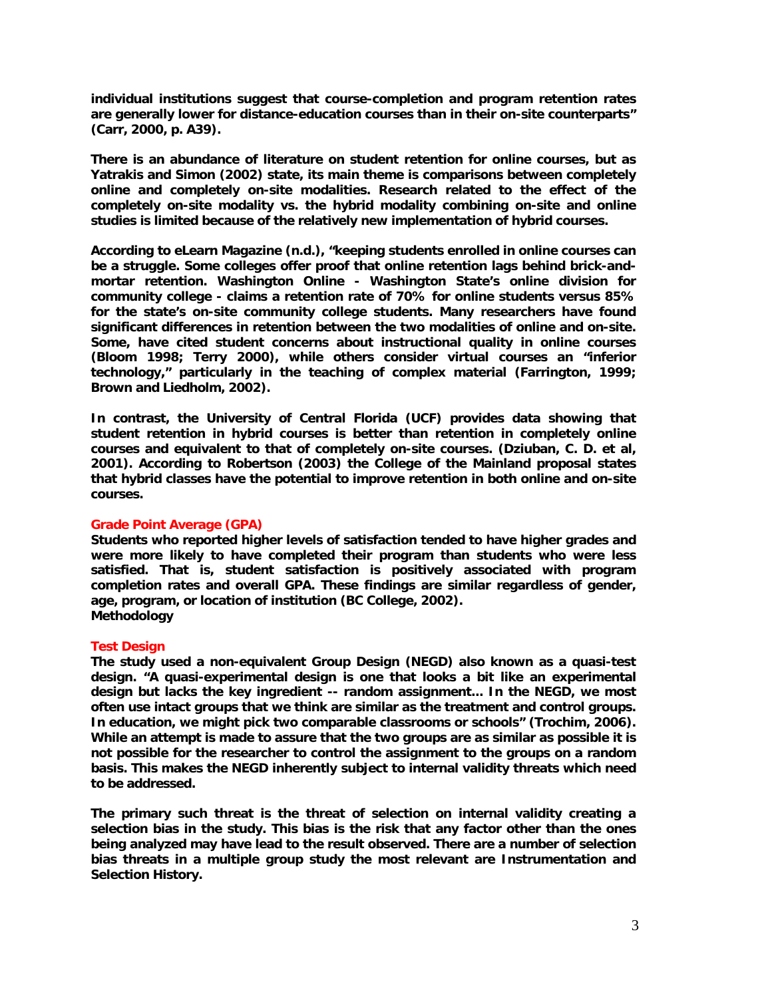**individual institutions suggest that course-completion and program retention rates are generally lower for distance-education courses than in their on-site counterparts" (Carr, 2000, p. A39).** 

**There is an abundance of literature on student retention for online courses, but as Yatrakis and Simon (2002) state, its main theme is comparisons between completely online and completely on-site modalities. Research related to the effect of the completely on-site modality vs. the hybrid modality combining on-site and online studies is limited because of the relatively new implementation of hybrid courses.** 

**According to eLearn Magazine (n.d.), "keeping students enrolled in online courses can be a struggle. Some colleges offer proof that online retention lags behind brick-andmortar retention. Washington Online - Washington State's online division for community college - claims a retention rate of 70% for online students versus 85% for the state's on-site community college students. Many researchers have found significant differences in retention between the two modalities of online and on-site. Some, have cited student concerns about instructional quality in online courses (Bloom 1998; Terry 2000), while others consider virtual courses an "inferior technology," particularly in the teaching of complex material (Farrington, 1999; Brown and Liedholm, 2002).** 

**In contrast, the University of Central Florida (UCF) provides data showing that student retention in hybrid courses is better than retention in completely online courses and equivalent to that of completely on-site courses. (Dziuban, C. D. et al, 2001). According to Robertson (2003) the College of the Mainland proposal states that hybrid classes have the potential to improve retention in both online and on-site courses.** 

## **Grade Point Average (GPA)**

**Students who reported higher levels of satisfaction tended to have higher grades and were more likely to have completed their program than students who were less satisfied. That is, student satisfaction is positively associated with program completion rates and overall GPA. These findings are similar regardless of gender, age, program, or location of institution (BC College, 2002). Methodology** 

# **Test Design**

**The study used a non-equivalent Group Design (NEGD) also known as a quasi-test design. "A quasi-experimental design is one that looks a bit like an experimental design but lacks the key ingredient -- random assignment... In the NEGD, we most often use intact groups that we think are similar as the treatment and control groups. In education, we might pick two comparable classrooms or schools" (Trochim, 2006). While an attempt is made to assure that the two groups are as similar as possible it is not possible for the researcher to control the assignment to the groups on a random basis. This makes the NEGD inherently subject to internal validity threats which need to be addressed.** 

**The primary such threat is the threat of selection on internal validity creating a selection bias in the study. This bias is the risk that any factor other than the ones being analyzed may have lead to the result observed. There are a number of selection bias threats in a multiple group study the most relevant are Instrumentation and Selection History.**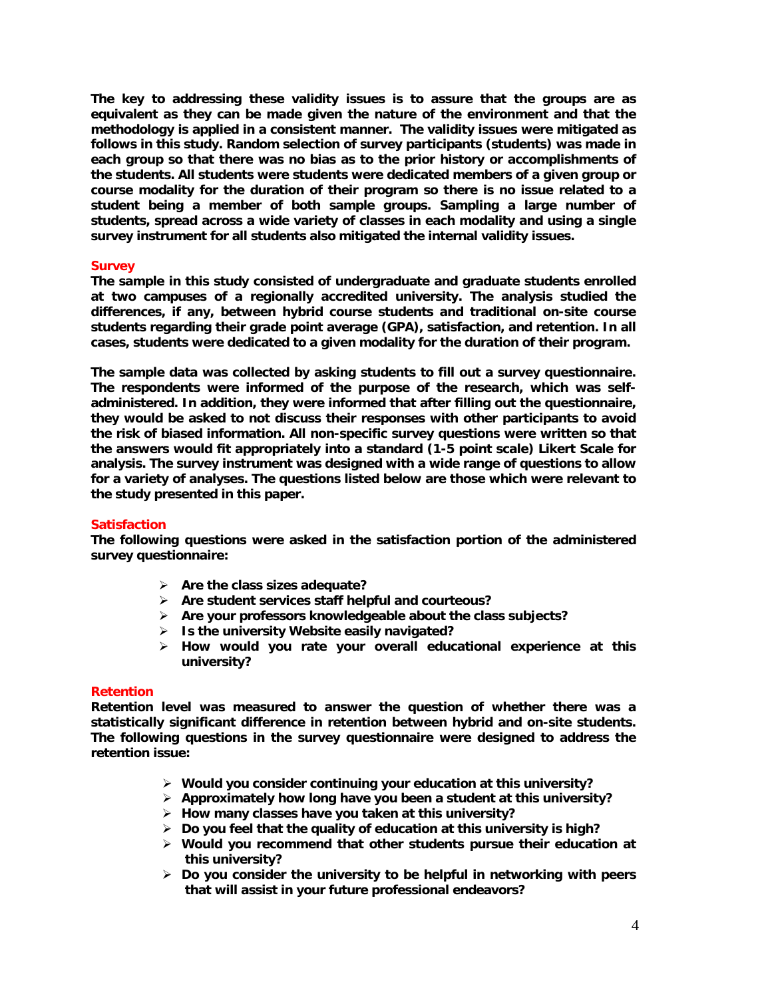**The key to addressing these validity issues is to assure that the groups are as equivalent as they can be made given the nature of the environment and that the methodology is applied in a consistent manner. The validity issues were mitigated as follows in this study. Random selection of survey participants (students) was made in each group so that there was no bias as to the prior history or accomplishments of the students. All students were students were dedicated members of a given group or course modality for the duration of their program so there is no issue related to a student being a member of both sample groups. Sampling a large number of students, spread across a wide variety of classes in each modality and using a single survey instrument for all students also mitigated the internal validity issues.** 

#### **Survey**

**The sample in this study consisted of undergraduate and graduate students enrolled at two campuses of a regionally accredited university. The analysis studied the differences, if any, between hybrid course students and traditional on-site course students regarding their grade point average (GPA), satisfaction, and retention. In all cases, students were dedicated to a given modality for the duration of their program.** 

**The sample data was collected by asking students to fill out a survey questionnaire. The respondents were informed of the purpose of the research, which was selfadministered. In addition, they were informed that after filling out the questionnaire, they would be asked to not discuss their responses with other participants to avoid the risk of biased information. All non-specific survey questions were written so that the answers would fit appropriately into a standard (1-5 point scale) Likert Scale for analysis. The survey instrument was designed with a wide range of questions to allow for a variety of analyses. The questions listed below are those which were relevant to the study presented in this paper.** 

#### **Satisfaction**

**The following questions were asked in the satisfaction portion of the administered survey questionnaire:** 

- ¾ **Are the class sizes adequate?**
- ¾ **Are student services staff helpful and courteous?**
- ¾ **Are your professors knowledgeable about the class subjects?**
- ¾ **Is the university Website easily navigated?**
- ¾ **How would you rate your overall educational experience at this university?**

#### **Retention**

**Retention level was measured to answer the question of whether there was a statistically significant difference in retention between hybrid and on-site students. The following questions in the survey questionnaire were designed to address the retention issue:** 

- ¾ **Would you consider continuing your education at this university?**
- ¾ **Approximately how long have you been a student at this university?**
- ¾ **How many classes have you taken at this university?**
- ¾ **Do you feel that the quality of education at this university is high?**
- ¾ **Would you recommend that other students pursue their education at this university?**
- ¾ **Do you consider the university to be helpful in networking with peers that will assist in your future professional endeavors?**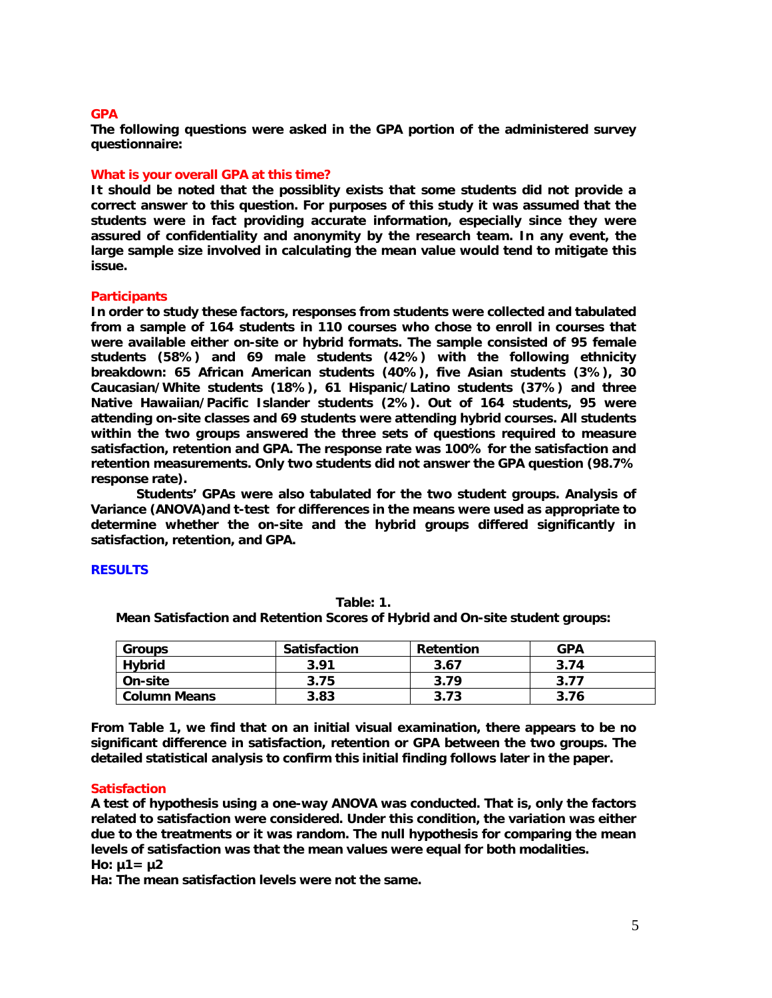#### **GPA**

**The following questions were asked in the GPA portion of the administered survey questionnaire:** 

## **What is your overall GPA at this time?**

**It should be noted that the possiblity exists that some students did not provide a correct answer to this question. For purposes of this study it was assumed that the students were in fact providing accurate information, especially since they were assured of confidentiality and anonymity by the research team. In any event, the large sample size involved in calculating the mean value would tend to mitigate this issue.** 

## **Participants**

**In order to study these factors, responses from students were collected and tabulated from a sample of 164 students in 110 courses who chose to enroll in courses that were available either on-site or hybrid formats. The sample consisted of 95 female students (58%) and 69 male students (42%) with the following ethnicity breakdown: 65 African American students (40%), five Asian students (3%), 30 Caucasian/White students (18%), 61 Hispanic/Latino students (37%) and three Native Hawaiian/Pacific Islander students (2%). Out of 164 students, 95 were attending on-site classes and 69 students were attending hybrid courses. All students within the two groups answered the three sets of questions required to measure satisfaction, retention and GPA. The response rate was 100% for the satisfaction and retention measurements. Only two students did not answer the GPA question (98.7% response rate).** 

**Students' GPAs were also tabulated for the two student groups. Analysis of Variance (ANOVA)and t-test for differences in the means were used as appropriate to determine whether the on-site and the hybrid groups differed significantly in satisfaction, retention, and GPA.** 

## **RESULTS**

| <b>Groups</b>       | Satisfaction | <b>Retention</b> | <b>GPA</b> |
|---------------------|--------------|------------------|------------|
| <b>Hybrid</b>       | 3.91         | 3.67             | 3.74       |
| On-site             | 3.75         | 3.79             | 3.77       |
| <b>Column Means</b> | 3.83         | 3.73             | 3.76       |

**Table: 1. Mean Satisfaction and Retention Scores of Hybrid and On-site student groups:** 

**From Table 1, we find that on an initial visual examination, there appears to be no significant difference in satisfaction, retention or GPA between the two groups. The detailed statistical analysis to confirm this initial finding follows later in the paper.** 

## **Satisfaction**

**A test of hypothesis using a one-way ANOVA was conducted. That is, only the factors related to satisfaction were considered. Under this condition, the variation was either due to the treatments or it was random. The null hypothesis for comparing the mean levels of satisfaction was that the mean values were equal for both modalities. Ho: µ1= µ2** 

**Ha: The mean satisfaction levels were not the same.**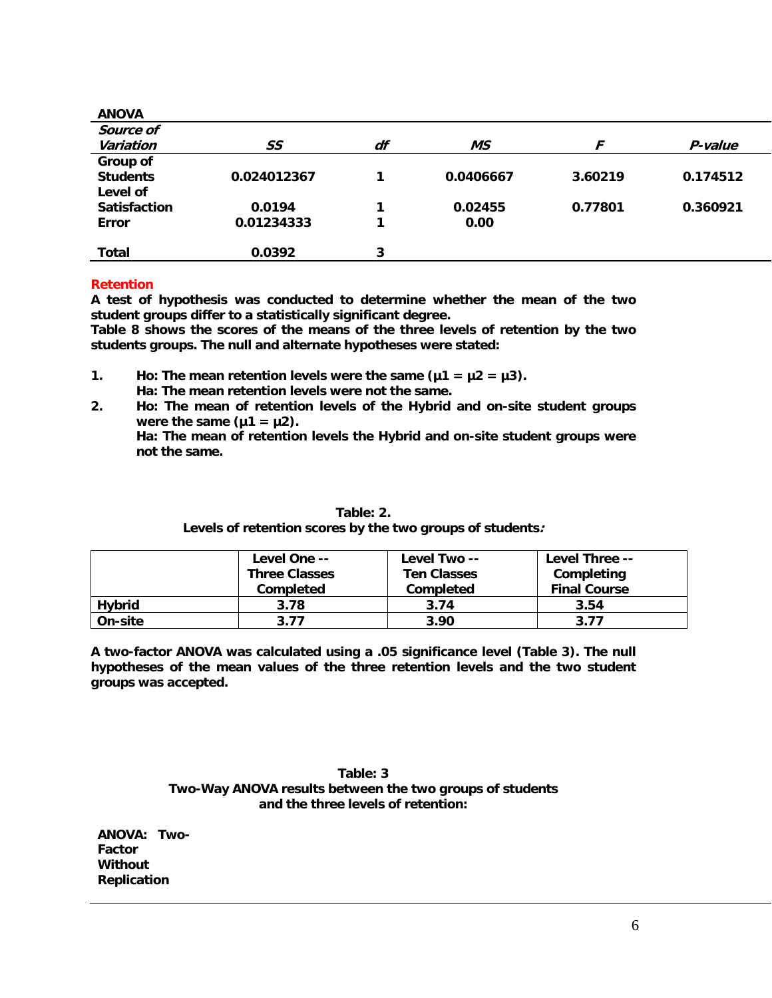| <b>ANOVA</b>        |             |    |           |         |          |
|---------------------|-------------|----|-----------|---------|----------|
| Source of           |             |    |           |         |          |
| Variation           | SS          | df | МS        |         | P-value  |
| Group of            |             |    |           |         |          |
| <b>Students</b>     | 0.024012367 |    | 0.0406667 | 3.60219 | 0.174512 |
| Level of            |             |    |           |         |          |
| <b>Satisfaction</b> | 0.0194      |    | 0.02455   | 0.77801 | 0.360921 |
| <b>Error</b>        | 0.01234333  |    | 0.00      |         |          |
|                     |             |    |           |         |          |
| <b>Total</b>        | 0.0392      | 3  |           |         |          |

# **Retention**

**A test of hypothesis was conducted to determine whether the mean of the two student groups differ to a statistically significant degree.** 

**Table 8 shows the scores of the means of the three levels of retention by the two students groups. The null and alternate hypotheses were stated:** 

- **1.** Ho: The mean retention levels were the same  $(\mu 1 = \mu 2 = \mu 3)$ .  **Ha: The mean retention levels were not the same.**
- **2. Ho: The mean of retention levels of the Hybrid and on-site student groups**  were the same  $(\mu1 = \mu2)$ . **Ha: The mean of retention levels the Hybrid and on-site student groups were not the same.**

|               | Level One --<br><b>Three Classes</b> | Level Two --<br><b>Ten Classes</b> | Level Three --<br>Completing |
|---------------|--------------------------------------|------------------------------------|------------------------------|
|               | <b>Completed</b>                     | <b>Completed</b>                   | <b>Final Course</b>          |
| <b>Hybrid</b> | 3.78                                 | 3.74                               | 3.54                         |
| On-site       | 3.77                                 | 3.90                               | 3.77                         |

# **Table: 2. Levels of retention scores by the two groups of students:**

**A two-factor ANOVA was calculated using a .05 significance level (Table 3). The null hypotheses of the mean values of the three retention levels and the two student groups was accepted.** 

> **Table: 3 Two-Way ANOVA results between the two groups of students and the three levels of retention:**

| <b>ANOVA:</b>      | Two- |
|--------------------|------|
| Factor             |      |
| Without            |      |
| <b>Replication</b> |      |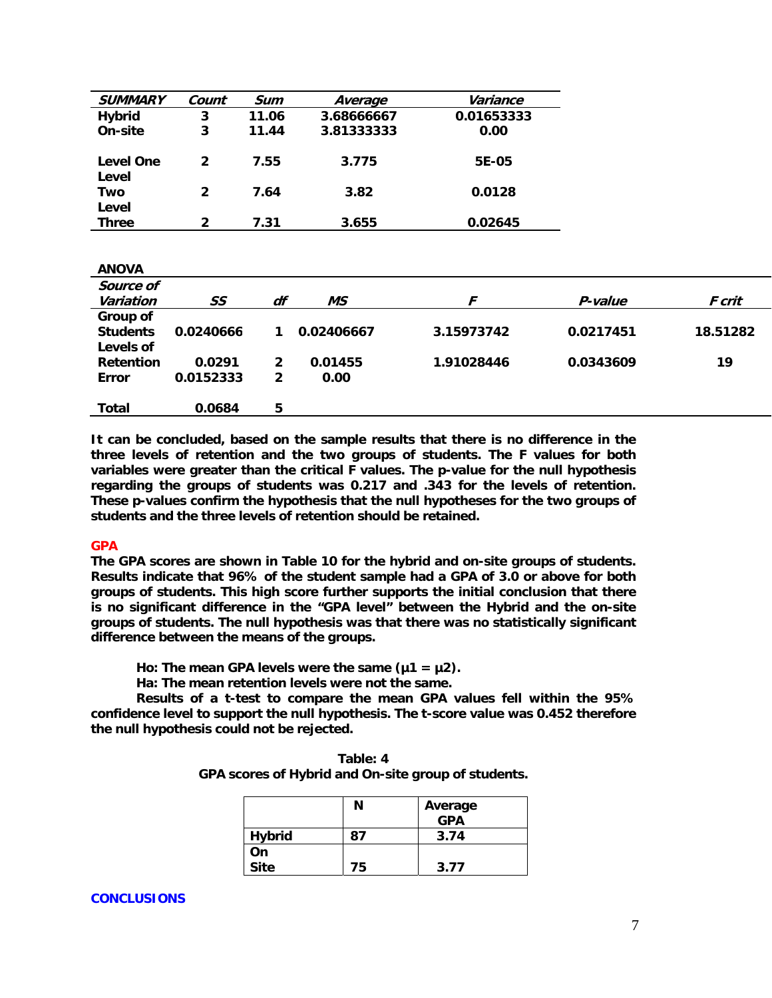| <b>SUMMARY</b>        | Count | Sum   | Average    | Variance   |
|-----------------------|-------|-------|------------|------------|
| <b>Hybrid</b>         | 3     | 11.06 | 3.68666667 | 0.01653333 |
| On-site               | 3     | 11.44 | 3.81333333 | 0.00       |
| Level One<br>Level    | 2     | 7.55  | 3.775      | 5E-05      |
| Two                   | 2     | 7.64  | 3.82       | 0.0128     |
| Level<br><b>Three</b> | 2     | 7.31  | 3.655      | 0.02645    |

| <b>ANOVA</b>     |           |              |            |            |           |          |
|------------------|-----------|--------------|------------|------------|-----------|----------|
| Source of        |           |              |            |            |           |          |
| Variation        | SS        | df           | <b>MS</b>  | F          | P-value   | F crit   |
| Group of         |           |              |            |            |           |          |
| <b>Students</b>  | 0.0240666 |              | 0.02406667 | 3.15973742 | 0.0217451 | 18.51282 |
| Levels of        |           |              |            |            |           |          |
| <b>Retention</b> | 0.0291    | $\mathbf{2}$ | 0.01455    | 1.91028446 | 0.0343609 | 19       |
| <b>Error</b>     | 0.0152333 | $\mathbf{2}$ | 0.00       |            |           |          |
|                  |           |              |            |            |           |          |
| Total            | 0.0684    | 5            |            |            |           |          |
|                  |           |              |            |            |           |          |

**It can be concluded, based on the sample results that there is no difference in the three levels of retention and the two groups of students. The F values for both variables were greater than the critical F values. The p-value for the null hypothesis regarding the groups of students was 0.217 and .343 for the levels of retention. These p-values confirm the hypothesis that the null hypotheses for the two groups of students and the three levels of retention should be retained.** 

## **GPA**

**The GPA scores are shown in Table 10 for the hybrid and on-site groups of students. Results indicate that 96% of the student sample had a GPA of 3.0 or above for both groups of students. This high score further supports the initial conclusion that there is no significant difference in the "GPA level" between the Hybrid and the on-site groups of students. The null hypothesis was that there was no statistically significant difference between the means of the groups.** 

Ho: The mean GPA levels were the same  $(\mu 1 = \mu 2)$ .

 **Ha: The mean retention levels were not the same.** 

**Results of a t-test to compare the mean GPA values fell within the 95% confidence level to support the null hypothesis. The t-score value was 0.452 therefore the null hypothesis could not be rejected.** 

| Table: 4                                            |
|-----------------------------------------------------|
| GPA scores of Hybrid and On-site group of students. |

|             | Ν  | Average<br><b>GPA</b> |
|-------------|----|-----------------------|
| Hybrid      | 87 | 3.74                  |
| On          |    |                       |
| <b>Site</b> | 75 | 3.77                  |

## **CONCLUSIONS**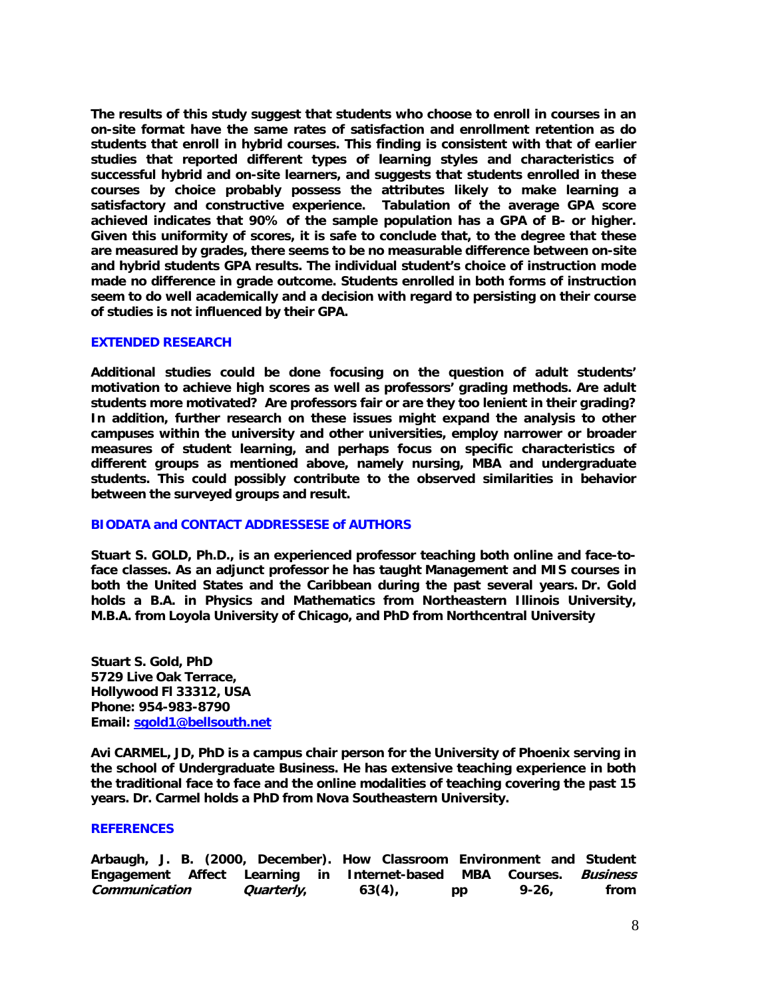**The results of this study suggest that students who choose to enroll in courses in an on-site format have the same rates of satisfaction and enrollment retention as do students that enroll in hybrid courses. This finding is consistent with that of earlier studies that reported different types of learning styles and characteristics of successful hybrid and on-site learners, and suggests that students enrolled in these courses by choice probably possess the attributes likely to make learning a satisfactory and constructive experience. Tabulation of the average GPA score achieved indicates that 90% of the sample population has a GPA of B- or higher. Given this uniformity of scores, it is safe to conclude that, to the degree that these are measured by grades, there seems to be no measurable difference between on-site and hybrid students GPA results. The individual student's choice of instruction mode made no difference in grade outcome. Students enrolled in both forms of instruction seem to do well academically and a decision with regard to persisting on their course of studies is not influenced by their GPA.** 

#### **EXTENDED RESEARCH**

**Additional studies could be done focusing on the question of adult students' motivation to achieve high scores as well as professors' grading methods. Are adult students more motivated? Are professors fair or are they too lenient in their grading? In addition, further research on these issues might expand the analysis to other campuses within the university and other universities, employ narrower or broader measures of student learning, and perhaps focus on specific characteristics of different groups as mentioned above, namely nursing, MBA and undergraduate students. This could possibly contribute to the observed similarities in behavior between the surveyed groups and result.** 

#### **BIODATA and CONTACT ADDRESSESE of AUTHORS**

**Stuart S. GOLD, Ph.D., is an experienced professor teaching both online and face-toface classes. As an adjunct professor he has taught Management and MIS courses in both the United States and the Caribbean during the past several years. Dr. Gold holds a B.A. in Physics and Mathematics from Northeastern Illinois University, M.B.A. from Loyola University of Chicago, and PhD from Northcentral University** 

**Stuart S. Gold, PhD 5729 Live Oak Terrace, Hollywood Fl 33312, USA Phone: 954-983-8790 Email: sgold1@bellsouth.net**

**Avi CARMEL, JD, PhD is a campus chair person for the University of Phoenix serving in the school of Undergraduate Business. He has extensive teaching experience in both the traditional face to face and the online modalities of teaching covering the past 15 years. Dr. Carmel holds a PhD from Nova Southeastern University.** 

#### **REFERENCES**

| Arbaugh, J. B. (2000, December). How Classroom Environment and Student |                   |  |           |    |       |      |
|------------------------------------------------------------------------|-------------------|--|-----------|----|-------|------|
| Engagement Affect Learning in Internet-based MBA Courses. Business     |                   |  |           |    |       |      |
| Communication                                                          | <i>Quarterly,</i> |  | $63(4)$ , | pp | 9-26. | from |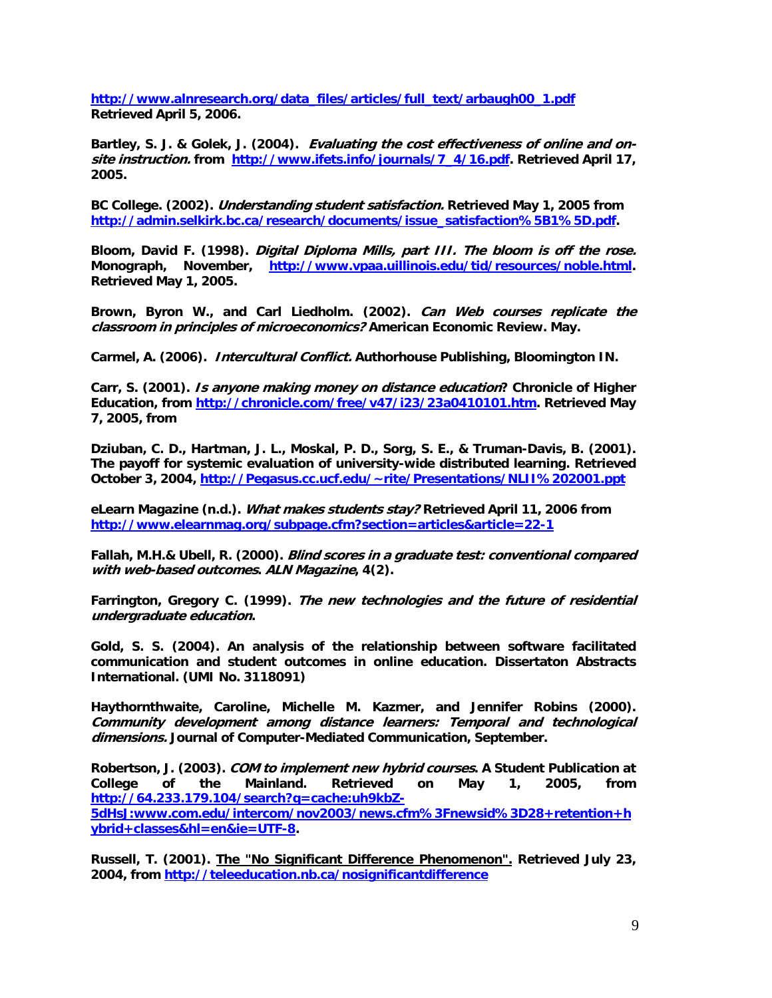**http://www.alnresearch.org/data\_files/articles/full\_text/arbaugh00\_1.pdf Retrieved April 5, 2006.** 

**Bartley, S. J. & Golek, J. (2004). Evaluating the cost effectiveness of online and onsite instruction. from http://www.ifets.info/journals/7\_4/16.pdf. Retrieved April 17, 2005.** 

**BC College. (2002). Understanding student satisfaction. Retrieved May 1, 2005 from http://admin.selkirk.bc.ca/research/documents/issue\_satisfaction%5B1%5D.pdf.** 

**Bloom, David F. (1998). Digital Diploma Mills, part III. The bloom is off the rose. Monograph, November, http://www.vpaa.uillinois.edu/tid/resources/noble.html. Retrieved May 1, 2005.** 

**Brown, Byron W., and Carl Liedholm. (2002). Can Web courses replicate the classroom in principles of microeconomics? American Economic Review. May.** 

**Carmel, A. (2006). Intercultural Conflict. Authorhouse Publishing, Bloomington IN.** 

**Carr, S. (2001). Is anyone making money on distance education? Chronicle of Higher Education, from http://chronicle.com/free/v47/i23/23a0410101.htm. Retrieved May 7, 2005, from** 

**Dziuban, C. D., Hartman, J. L., Moskal, P. D., Sorg, S. E., & Truman-Davis, B. (2001). The payoff for systemic evaluation of university-wide distributed learning. Retrieved October 3, 2004, http://Pegasus.cc.ucf.edu/~rite/Presentations/NLII%202001.ppt**

**eLearn Magazine (n.d.). What makes students stay? Retrieved April 11, 2006 from http://www.elearnmag.org/subpage.cfm?section=articles&article=22-1**

**Fallah, M.H.& Ubell, R. (2000). Blind scores in a graduate test: conventional compared with web-based outcomes. ALN Magazine, 4(2).** 

**Farrington, Gregory C. (1999). The new technologies and the future of residential undergraduate education.** 

**Gold, S. S. (2004). An analysis of the relationship between software facilitated communication and student outcomes in online education. Dissertaton Abstracts International. (UMI No. 3118091)** 

**Haythornthwaite, Caroline, Michelle M. Kazmer, and Jennifer Robins (2000). Community development among distance learners: Temporal and technological dimensions. Journal of Computer-Mediated Communication, September.** 

**Robertson, J. (2003). COM to implement new hybrid courses. A Student Publication at College of the Mainland. Retrieved on May 1, 2005, from http://64.233.179.104/search?q=cache:uh9kbZ-**

**5dHsJ:www.com.edu/intercom/nov2003/news.cfm%3Fnewsid%3D28+retention+h ybrid+classes&hl=en&ie=UTF-8.** 

**Russell, T. (2001). The "No Significant Difference Phenomenon". Retrieved July 23, 2004, from http://teleeducation.nb.ca/nosignificantdifference**